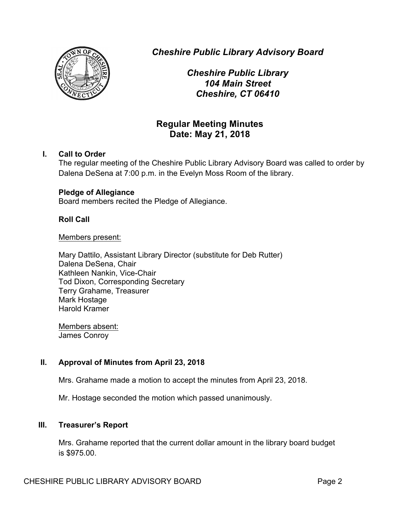

*Cheshire Public Library Advisory Board*

*Cheshire Public Library 104 Main Street Cheshire, CT 06410*

# **Regular Meeting Minutes Date: May 21, 2018**

# **I. Call to Order**

The regular meeting of the Cheshire Public Library Advisory Board was called to order by Dalena DeSena at 7:00 p.m. in the Evelyn Moss Room of the library.

# **Pledge of Allegiance**

Board members recited the Pledge of Allegiance.

# **Roll Call**

#### Members present:

Mary Dattilo, Assistant Library Director (substitute for Deb Rutter) Dalena DeSena, Chair Kathleen Nankin, Vice-Chair Tod Dixon, Corresponding Secretary Terry Grahame, Treasurer Mark Hostage Harold Kramer

Members absent: James Conroy

# **II. Approval of Minutes from April 23, 2018**

Mrs. Grahame made a motion to accept the minutes from April 23, 2018.

Mr. Hostage seconded the motion which passed unanimously.

# **III. Treasurer's Report**

Mrs. Grahame reported that the current dollar amount in the library board budget is \$975.00.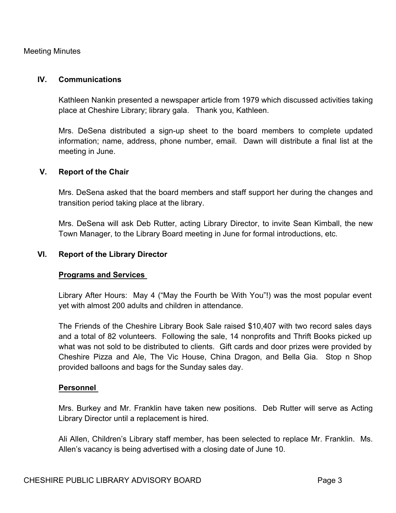## Meeting Minutes

#### **IV. Communications**

Kathleen Nankin presented a newspaper article from 1979 which discussed activities taking place at Cheshire Library; library gala. Thank you, Kathleen.

Mrs. DeSena distributed a sign-up sheet to the board members to complete updated information; name, address, phone number, email. Dawn will distribute a final list at the meeting in June.

#### **V. Report of the Chair**

Mrs. DeSena asked that the board members and staff support her during the changes and transition period taking place at the library.

Mrs. DeSena will ask Deb Rutter, acting Library Director, to invite Sean Kimball, the new Town Manager, to the Library Board meeting in June for formal introductions, etc.

#### **VI. Report of the Library Director**

#### **Programs and Services**

Library After Hours: May 4 ("May the Fourth be With You"!) was the most popular event yet with almost 200 adults and children in attendance.

The Friends of the Cheshire Library Book Sale raised \$10,407 with two record sales days and a total of 82 volunteers. Following the sale, 14 nonprofits and Thrift Books picked up what was not sold to be distributed to clients. Gift cards and door prizes were provided by Cheshire Pizza and Ale, The Vic House, China Dragon, and Bella Gia. Stop n Shop provided balloons and bags for the Sunday sales day.

#### **Personnel**

Mrs. Burkey and Mr. Franklin have taken new positions. Deb Rutter will serve as Acting Library Director until a replacement is hired.

Ali Allen, Children's Library staff member, has been selected to replace Mr. Franklin. Ms. Allen's vacancy is being advertised with a closing date of June 10.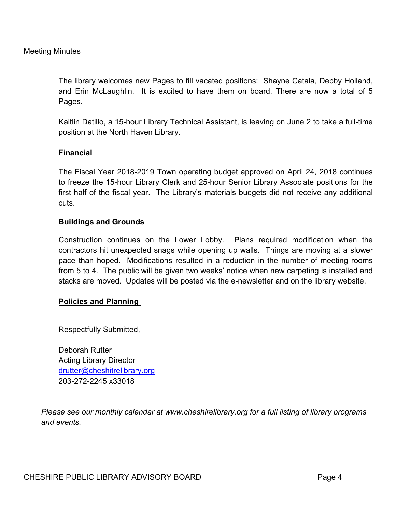The library welcomes new Pages to fill vacated positions: Shayne Catala, Debby Holland, and Erin McLaughlin. It is excited to have them on board. There are now a total of 5 Pages.

Kaitlin Datillo, a 15-hour Library Technical Assistant, is leaving on June 2 to take a full-time position at the North Haven Library.

# **Financial**

The Fiscal Year 2018-2019 Town operating budget approved on April 24, 2018 continues to freeze the 15-hour Library Clerk and 25-hour Senior Library Associate positions for the first half of the fiscal year. The Library's materials budgets did not receive any additional cuts.

# **Buildings and Grounds**

Construction continues on the Lower Lobby. Plans required modification when the contractors hit unexpected snags while opening up walls. Things are moving at a slower pace than hoped. Modifications resulted in a reduction in the number of meeting rooms from 5 to 4. The public will be given two weeks' notice when new carpeting is installed and stacks are moved. Updates will be posted via the e-newsletter and on the library website.

# **Policies and Planning**

Respectfully Submitted,

Deborah Rutter Acting Library Director drutter@cheshitrelibrary.org 203-272-2245 x33018

*Please see our monthly calendar at www.cheshirelibrary.org for a full listing of library programs and events.*